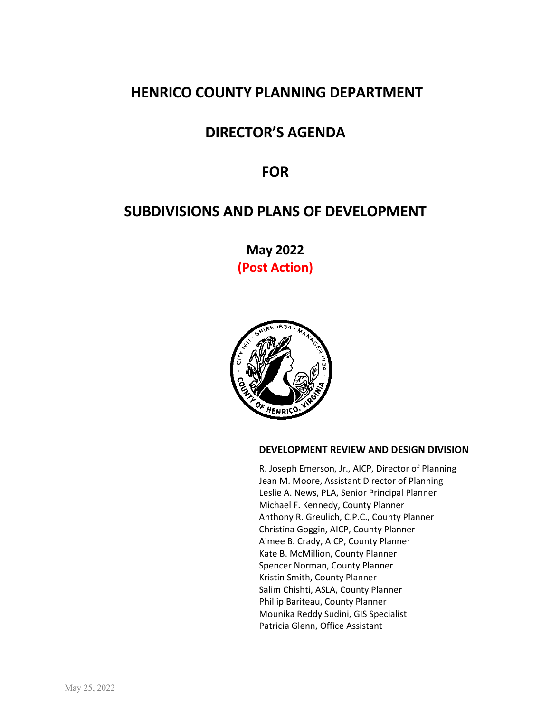# **HENRICO COUNTY PLANNING DEPARTMENT**

# **DIRECTOR'S AGENDA**

# **FOR**

# **SUBDIVISIONS AND PLANS OF DEVELOPMENT**

**May 2022 (Post Action)**



# **DEVELOPMENT REVIEW AND DESIGN DIVISION**

R. Joseph Emerson, Jr., AICP, Director of Planning Jean M. Moore, Assistant Director of Planning Leslie A. News, PLA, Senior Principal Planner Michael F. Kennedy, County Planner Anthony R. Greulich, C.P.C., County Planner Christina Goggin, AICP, County Planner Aimee B. Crady, AICP, County Planner Kate B. McMillion, County Planner Spencer Norman, County Planner Kristin Smith, County Planner Salim Chishti, ASLA, County Planner Phillip Bariteau, County Planner Mounika Reddy Sudini, GIS Specialist Patricia Glenn, Office Assistant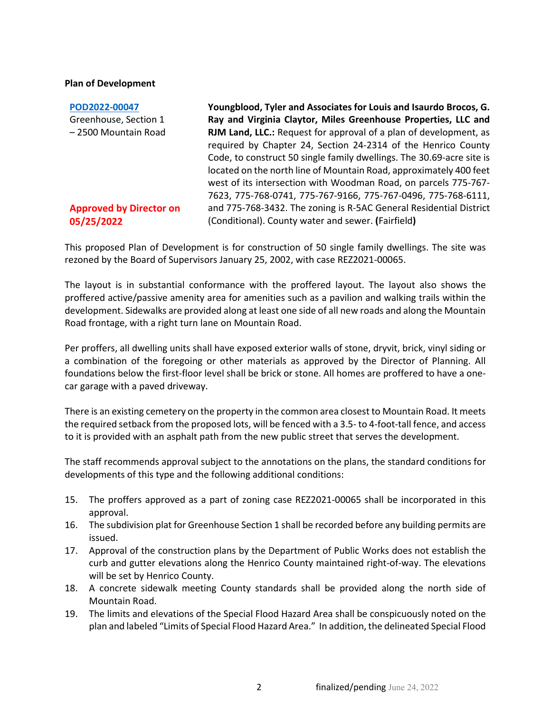### **Plan of Development**

**[POD2022-00047](https://henrico.us/pdfs/planning/2022/may22/pod/pod2022-00047.pdf)** Greenhouse, Section 1 – 2500 Mountain Road

# **Approved by Director on 05/25/2022**

**Youngblood, Tyler and Associates for Louis and Isaurdo Brocos, G. Ray and Virginia Claytor, Miles Greenhouse Properties, LLC and RJM Land, LLC.:** Request for approval of a plan of development, as required by Chapter 24, Section 24-2314 of the Henrico County Code, to construct 50 single family dwellings. The 30.69-acre site is located on the north line of Mountain Road, approximately 400 feet west of its intersection with Woodman Road, on parcels 775-767- 7623, 775-768-0741, 775-767-9166, 775-767-0496, 775-768-6111, and 775-768-3432. The zoning is R-5AC General Residential District (Conditional). County water and sewer. **(**Fairfield**)**

This proposed Plan of Development is for construction of 50 single family dwellings. The site was rezoned by the Board of Supervisors January 25, 2002, with case REZ2021-00065.

The layout is in substantial conformance with the proffered layout. The layout also shows the proffered active/passive amenity area for amenities such as a pavilion and walking trails within the development. Sidewalks are provided along at least one side of all new roads and along the Mountain Road frontage, with a right turn lane on Mountain Road.

Per proffers, all dwelling units shall have exposed exterior walls of stone, dryvit, brick, vinyl siding or a combination of the foregoing or other materials as approved by the Director of Planning. All foundations below the first-floor level shall be brick or stone. All homes are proffered to have a onecar garage with a paved driveway.

There is an existing cemetery on the property in the common area closest to Mountain Road. It meets the required setback from the proposed lots, will be fenced with a 3.5- to 4-foot-tall fence, and access to it is provided with an asphalt path from the new public street that serves the development.

The staff recommends approval subject to the annotations on the plans, the standard conditions for developments of this type and the following additional conditions:

- 15. The proffers approved as a part of zoning case REZ2021-00065 shall be incorporated in this approval.
- 16. The subdivision plat for Greenhouse Section 1 shall be recorded before any building permits are issued.
- 17. Approval of the construction plans by the Department of Public Works does not establish the curb and gutter elevations along the Henrico County maintained right-of-way. The elevations will be set by Henrico County.
- 18. A concrete sidewalk meeting County standards shall be provided along the north side of Mountain Road.
- 19. The limits and elevations of the Special Flood Hazard Area shall be conspicuously noted on the plan and labeled "Limits of Special Flood Hazard Area." In addition, the delineated Special Flood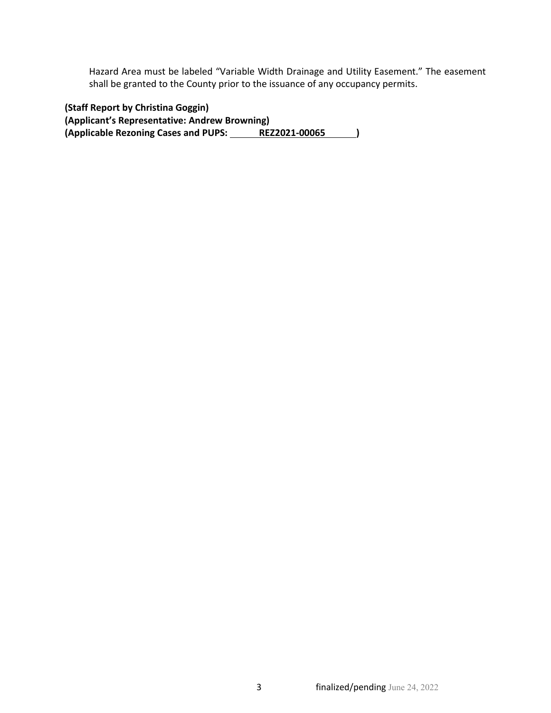Hazard Area must be labeled "Variable Width Drainage and Utility Easement." The easement shall be granted to the County prior to the issuance of any occupancy permits.

**(Staff Report by Christina Goggin) (Applicant's Representative: Andrew Browning)** (Applicable Rezoning Cases and PUPS: REZ2021-00065 )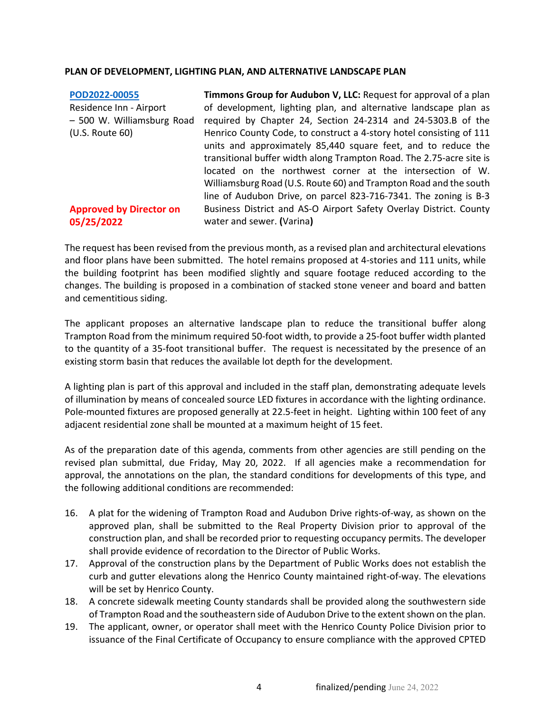# **PLAN OF DEVELOPMENT, LIGHTING PLAN, AND ALTERNATIVE LANDSCAPE PLAN**

| POD2022-00055                  | Timmons Group for Audubon V, LLC: Request for approval of a plan     |
|--------------------------------|----------------------------------------------------------------------|
| Residence Inn - Airport        | of development, lighting plan, and alternative landscape plan as     |
| - 500 W. Williamsburg Road     | required by Chapter 24, Section 24-2314 and 24-5303.B of the         |
| (U.S. Route 60)                | Henrico County Code, to construct a 4-story hotel consisting of 111  |
|                                | units and approximately 85,440 square feet, and to reduce the        |
|                                | transitional buffer width along Trampton Road. The 2.75-acre site is |
|                                | located on the northwest corner at the intersection of W.            |
|                                | Williamsburg Road (U.S. Route 60) and Trampton Road and the south    |
|                                | line of Audubon Drive, on parcel 823-716-7341. The zoning is B-3     |
| <b>Approved by Director on</b> | Business District and AS-O Airport Safety Overlay District. County   |
| 05/25/2022                     | water and sewer. (Varina)                                            |

The request has been revised from the previous month, as a revised plan and architectural elevations and floor plans have been submitted. The hotel remains proposed at 4-stories and 111 units, while the building footprint has been modified slightly and square footage reduced according to the changes. The building is proposed in a combination of stacked stone veneer and board and batten and cementitious siding.

The applicant proposes an alternative landscape plan to reduce the transitional buffer along Trampton Road from the minimum required 50-foot width, to provide a 25-foot buffer width planted to the quantity of a 35-foot transitional buffer. The request is necessitated by the presence of an existing storm basin that reduces the available lot depth for the development.

A lighting plan is part of this approval and included in the staff plan, demonstrating adequate levels of illumination by means of concealed source LED fixtures in accordance with the lighting ordinance. Pole-mounted fixtures are proposed generally at 22.5-feet in height. Lighting within 100 feet of any adjacent residential zone shall be mounted at a maximum height of 15 feet.

As of the preparation date of this agenda, comments from other agencies are still pending on the revised plan submittal, due Friday, May 20, 2022. If all agencies make a recommendation for approval, the annotations on the plan, the standard conditions for developments of this type, and the following additional conditions are recommended:

- 16. A plat for the widening of Trampton Road and Audubon Drive rights-of-way, as shown on the approved plan, shall be submitted to the Real Property Division prior to approval of the construction plan, and shall be recorded prior to requesting occupancy permits. The developer shall provide evidence of recordation to the Director of Public Works.
- 17. Approval of the construction plans by the Department of Public Works does not establish the curb and gutter elevations along the Henrico County maintained right-of-way. The elevations will be set by Henrico County.
- 18. A concrete sidewalk meeting County standards shall be provided along the southwestern side of Trampton Road and the southeastern side of Audubon Drive to the extent shown on the plan.
- 19. The applicant, owner, or operator shall meet with the Henrico County Police Division prior to issuance of the Final Certificate of Occupancy to ensure compliance with the approved CPTED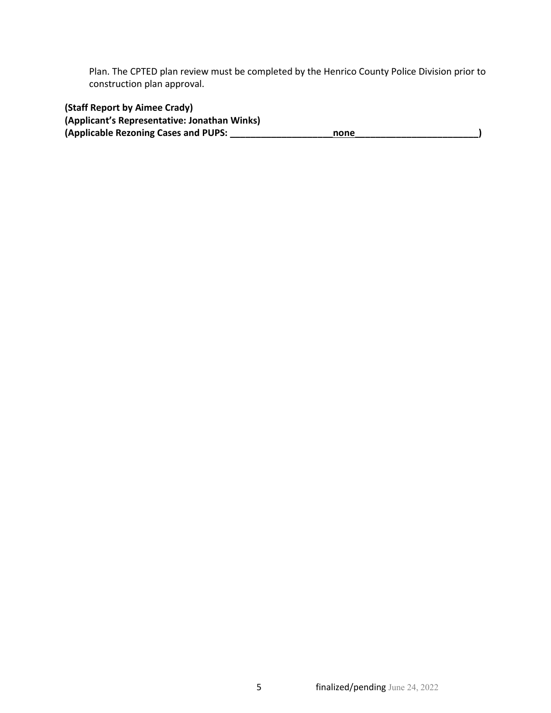Plan. The CPTED plan review must be completed by the Henrico County Police Division prior to construction plan approval.

**(Staff Report by Aimee Crady)**

| (Applicant's Representative: Jonathan Winks) |      |  |
|----------------------------------------------|------|--|
| (Applicable Rezoning Cases and PUPS:         | none |  |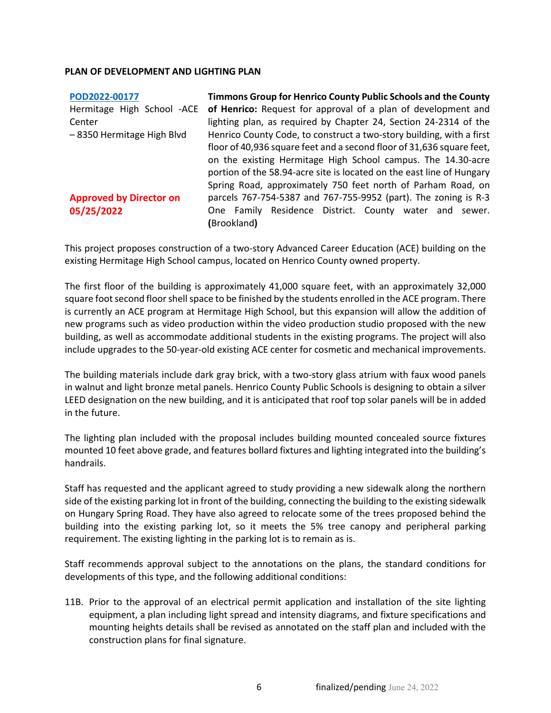## **PLAN OF DEVELOPMENT AND LIGHTING PLAN**

| POD2022-00177                  | Timmons Group for Henrico County Public Schools and the County        |  |  |
|--------------------------------|-----------------------------------------------------------------------|--|--|
| Hermitage High School -ACE     | of Henrico: Request for approval of a plan of development and         |  |  |
| Center                         | lighting plan, as required by Chapter 24, Section 24-2314 of the      |  |  |
| -8350 Hermitage High Blvd      | Henrico County Code, to construct a two-story building, with a first  |  |  |
|                                | floor of 40,936 square feet and a second floor of 31,636 square feet, |  |  |
|                                | on the existing Hermitage High School campus. The 14.30-acre          |  |  |
|                                | portion of the 58.94-acre site is located on the east line of Hungary |  |  |
|                                | Spring Road, approximately 750 feet north of Parham Road, on          |  |  |
| <b>Approved by Director on</b> | parcels 767-754-5387 and 767-755-9952 (part). The zoning is R-3       |  |  |
| 05/25/2022                     | One Family Residence District. County water and sewer.                |  |  |
|                                | (Brookland)                                                           |  |  |

This project proposes construction of a two-story Advanced Career Education (ACE) building on the existing Hermitage High School campus, located on Henrico County owned property.

The first floor of the building is approximately 41,000 square feet, with an approximately 32,000 square foot second floor shell space to be finished by the students enrolled in the ACE program. There is currently an ACE program at Hermitage High School, but this expansion will allow the addition of new programs such as video production within the video production studio proposed with the new building, as well as accommodate additional students in the existing programs. The project will also include upgrades to the 50-year-old existing ACE center for cosmetic and mechanical improvements.

The building materials include dark gray brick, with a two-story glass atrium with faux wood panels in walnut and light bronze metal panels. Henrico County Public Schools is designing to obtain a silver LEED designation on the new building, and it is anticipated that roof top solar panels will be in added in the future.

The lighting plan included with the proposal includes building mounted concealed source fixtures mounted 10 feet above grade, and features bollard fixtures and lighting integrated into the building's handrails.

Staff has requested and the applicant agreed to study providing a new sidewalk along the northern side of the existing parking lot in front of the building, connecting the building to the existing sidewalk on Hungary Spring Road. They have also agreed to relocate some of the trees proposed behind the building into the existing parking lot, so it meets the 5% tree canopy and peripheral parking requirement. The existing lighting in the parking lot is to remain as is.

Staff recommends approval subject to the annotations on the plans, the standard conditions for developments of this type, and the following additional conditions:

11B. Prior to the approval of an electrical permit application and installation of the site lighting equipment, a plan including light spread and intensity diagrams, and fixture specifications and mounting heights details shall be revised as annotated on the staff plan and included with the construction plans for final signature.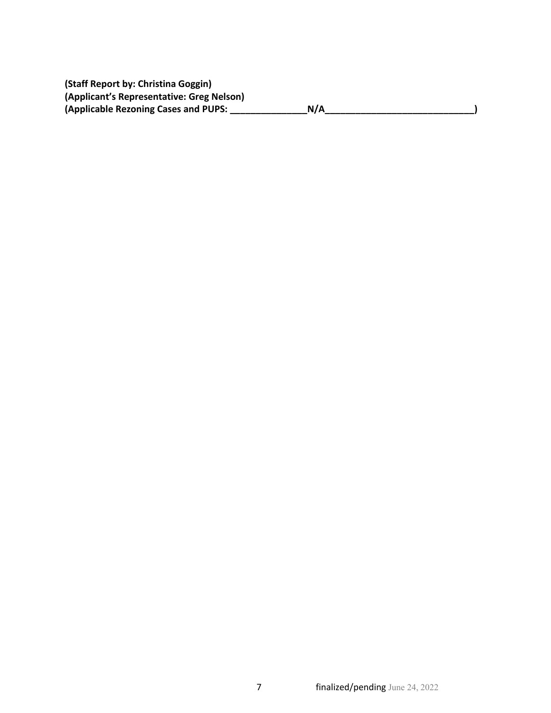**(Staff Report by: Christina Goggin) (Applicant's Representative: Greg Nelson) (Applicable Rezoning Cases and PUPS: \_\_\_\_\_\_\_\_\_\_\_\_\_\_\_N/A\_\_\_\_\_\_\_\_\_\_\_\_\_\_\_\_\_\_\_\_\_\_\_\_\_\_\_\_\_)**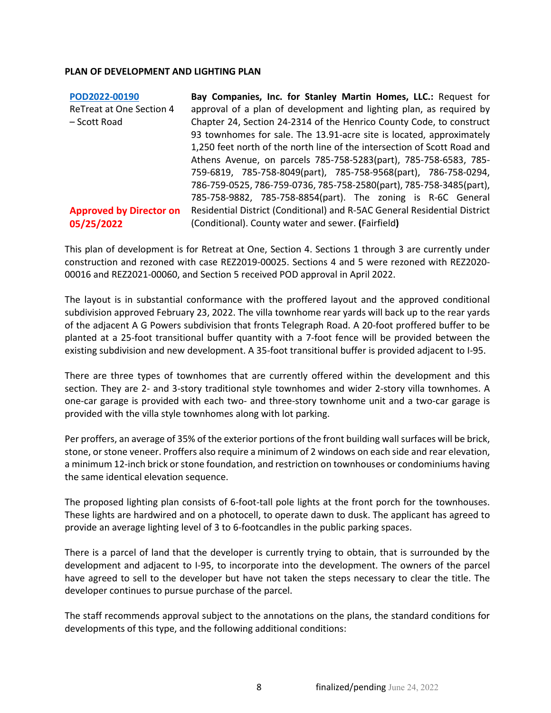# **PLAN OF DEVELOPMENT AND LIGHTING PLAN**

| POD2022-00190                  | Bay Companies, Inc. for Stanley Martin Homes, LLC.: Request for           |  |  |
|--------------------------------|---------------------------------------------------------------------------|--|--|
| ReTreat at One Section 4       | approval of a plan of development and lighting plan, as required by       |  |  |
| - Scott Road                   | Chapter 24, Section 24-2314 of the Henrico County Code, to construct      |  |  |
|                                | 93 townhomes for sale. The 13.91-acre site is located, approximately      |  |  |
|                                | 1,250 feet north of the north line of the intersection of Scott Road and  |  |  |
|                                | Athens Avenue, on parcels 785-758-5283(part), 785-758-6583, 785-          |  |  |
|                                | 759-6819, 785-758-8049(part), 785-758-9568(part), 786-758-0294,           |  |  |
|                                | 786-759-0525, 786-759-0736, 785-758-2580(part), 785-758-3485(part),       |  |  |
|                                | 785-758-9882, 785-758-8854(part). The zoning is R-6C General              |  |  |
| <b>Approved by Director on</b> | Residential District (Conditional) and R-5AC General Residential District |  |  |
| 05/25/2022                     | (Conditional). County water and sewer. (Fairfield)                        |  |  |

This plan of development is for Retreat at One, Section 4. Sections 1 through 3 are currently under construction and rezoned with case REZ2019-00025. Sections 4 and 5 were rezoned with REZ2020- 00016 and REZ2021-00060, and Section 5 received POD approval in April 2022.

The layout is in substantial conformance with the proffered layout and the approved conditional subdivision approved February 23, 2022. The villa townhome rear yards will back up to the rear yards of the adjacent A G Powers subdivision that fronts Telegraph Road. A 20-foot proffered buffer to be planted at a 25-foot transitional buffer quantity with a 7-foot fence will be provided between the existing subdivision and new development. A 35-foot transitional buffer is provided adjacent to I-95.

There are three types of townhomes that are currently offered within the development and this section. They are 2- and 3-story traditional style townhomes and wider 2-story villa townhomes. A one-car garage is provided with each two- and three-story townhome unit and a two-car garage is provided with the villa style townhomes along with lot parking.

Per proffers, an average of 35% of the exterior portions of the front building wall surfaces will be brick, stone, or stone veneer. Proffers also require a minimum of 2 windows on each side and rear elevation, a minimum 12-inch brick or stone foundation, and restriction on townhouses or condominiums having the same identical elevation sequence.

The proposed lighting plan consists of 6-foot-tall pole lights at the front porch for the townhouses. These lights are hardwired and on a photocell, to operate dawn to dusk. The applicant has agreed to provide an average lighting level of 3 to 6-footcandles in the public parking spaces.

There is a parcel of land that the developer is currently trying to obtain, that is surrounded by the development and adjacent to I-95, to incorporate into the development. The owners of the parcel have agreed to sell to the developer but have not taken the steps necessary to clear the title. The developer continues to pursue purchase of the parcel.

The staff recommends approval subject to the annotations on the plans, the standard conditions for developments of this type, and the following additional conditions: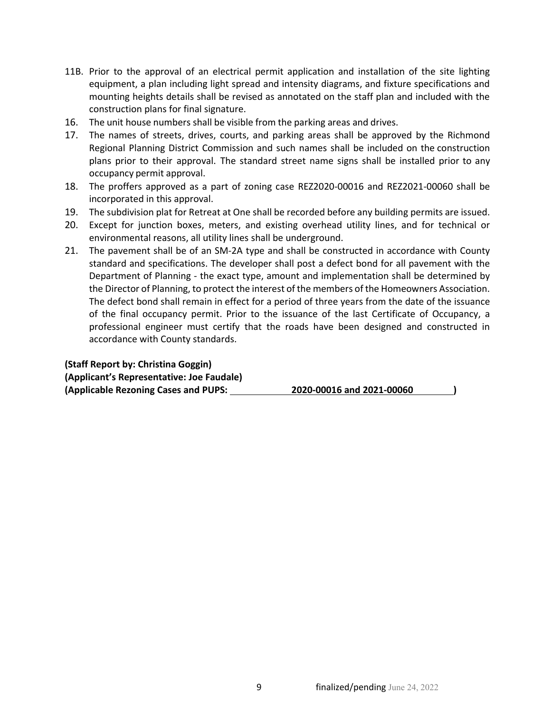- 11B. Prior to the approval of an electrical permit application and installation of the site lighting equipment, a plan including light spread and intensity diagrams, and fixture specifications and mounting heights details shall be revised as annotated on the staff plan and included with the construction plans for final signature.
- 16. The unit house numbers shall be visible from the parking areas and drives.
- 17. The names of streets, drives, courts, and parking areas shall be approved by the Richmond Regional Planning District Commission and such names shall be included on the construction plans prior to their approval. The standard street name signs shall be installed prior to any occupancy permit approval.
- 18. The proffers approved as a part of zoning case REZ2020-00016 and REZ2021-00060 shall be incorporated in this approval.
- 19. The subdivision plat for Retreat at One shall be recorded before any building permits are issued.
- 20. Except for junction boxes, meters, and existing overhead utility lines, and for technical or environmental reasons, all utility lines shall be underground.
- 21. The pavement shall be of an SM-2A type and shall be constructed in accordance with County standard and specifications. The developer shall post a defect bond for all pavement with the Department of Planning - the exact type, amount and implementation shall be determined by the Director of Planning, to protect the interest of the members of the Homeowners Association. The defect bond shall remain in effect for a period of three years from the date of the issuance of the final occupancy permit. Prior to the issuance of the last Certificate of Occupancy, a professional engineer must certify that the roads have been designed and constructed in accordance with County standards.

| (Staff Report by: Christina Goggin)       |                           |  |
|-------------------------------------------|---------------------------|--|
| (Applicant's Representative: Joe Faudale) |                           |  |
| (Applicable Rezoning Cases and PUPS:      | 2020-00016 and 2021-00060 |  |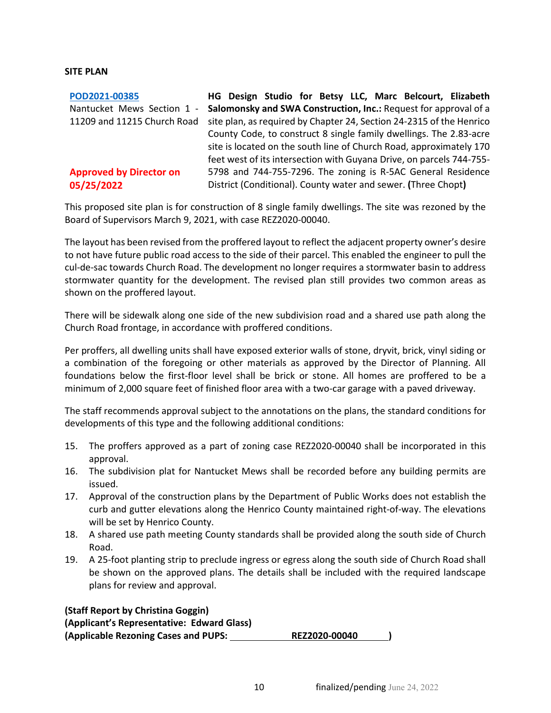## **SITE PLAN**

| POD2021-00385                  | HG Design Studio for Betsy LLC, Marc Belcourt, Elizabeth             |
|--------------------------------|----------------------------------------------------------------------|
| Nantucket Mews Section 1 -     | Salomonsky and SWA Construction, Inc.: Request for approval of a     |
| 11209 and 11215 Church Road    | site plan, as required by Chapter 24, Section 24-2315 of the Henrico |
|                                | County Code, to construct 8 single family dwellings. The 2.83-acre   |
|                                | site is located on the south line of Church Road, approximately 170  |
|                                | feet west of its intersection with Guyana Drive, on parcels 744-755- |
| <b>Approved by Director on</b> | 5798 and 744-755-7296. The zoning is R-5AC General Residence         |
| 05/25/2022                     | District (Conditional). County water and sewer. (Three Chopt)        |

This proposed site plan is for construction of 8 single family dwellings. The site was rezoned by the Board of Supervisors March 9, 2021, with case REZ2020-00040.

The layout has been revised from the proffered layout to reflect the adjacent property owner's desire to not have future public road access to the side of their parcel. This enabled the engineer to pull the cul-de-sac towards Church Road. The development no longer requires a stormwater basin to address stormwater quantity for the development. The revised plan still provides two common areas as shown on the proffered layout.

There will be sidewalk along one side of the new subdivision road and a shared use path along the Church Road frontage, in accordance with proffered conditions.

Per proffers, all dwelling units shall have exposed exterior walls of stone, dryvit, brick, vinyl siding or a combination of the foregoing or other materials as approved by the Director of Planning. All foundations below the first-floor level shall be brick or stone. All homes are proffered to be a minimum of 2,000 square feet of finished floor area with a two-car garage with a paved driveway.

The staff recommends approval subject to the annotations on the plans, the standard conditions for developments of this type and the following additional conditions:

- 15. The proffers approved as a part of zoning case REZ2020-00040 shall be incorporated in this approval.
- 16. The subdivision plat for Nantucket Mews shall be recorded before any building permits are issued.
- 17. Approval of the construction plans by the Department of Public Works does not establish the curb and gutter elevations along the Henrico County maintained right-of-way. The elevations will be set by Henrico County.
- 18. A shared use path meeting County standards shall be provided along the south side of Church Road.
- 19. A 25-foot planting strip to preclude ingress or egress along the south side of Church Road shall be shown on the approved plans. The details shall be included with the required landscape plans for review and approval.

**(Staff Report by Christina Goggin) (Applicant's Representative: Edward Glass) (Applicable Rezoning Cases and PUPS: REZ2020-00040 )**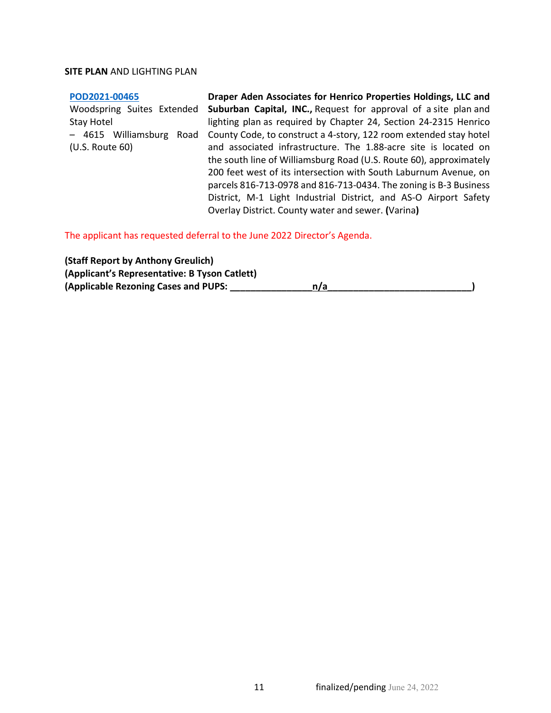#### **[POD2021-00465](https://henrico.us/pdfs/planning/2022/may22/pod/pod2021-00465.pdf)**

Stay Hotel (U.S. Route 60)

Woodspring Suites Extended Suburban Capital, INC., Request for approval of a site plan and – 4615 Williamsburg Road County Code, to construct a 4-story, 122 room extended stay hotel **Draper Aden Associates for Henrico Properties Holdings, LLC and**  lighting plan as required by Chapter 24, Section 24-2315 Henrico and associated infrastructure. The 1.88-acre site is located on the south line of Williamsburg Road (U.S. Route 60), approximately 200 feet west of its intersection with South Laburnum Avenue, on parcels 816-713-0978 and 816-713-0434. The zoning is B-3 Business District, M-1 Light Industrial District, and AS-O Airport Safety Overlay District. County water and sewer. **(**Varina**)**

The applicant has requested deferral to the June 2022 Director's Agenda.

| (Staff Report by Anthony Greulich)            |     |  |
|-----------------------------------------------|-----|--|
| (Applicant's Representative: B Tyson Catlett) |     |  |
| (Applicable Rezoning Cases and PUPS:          | n/a |  |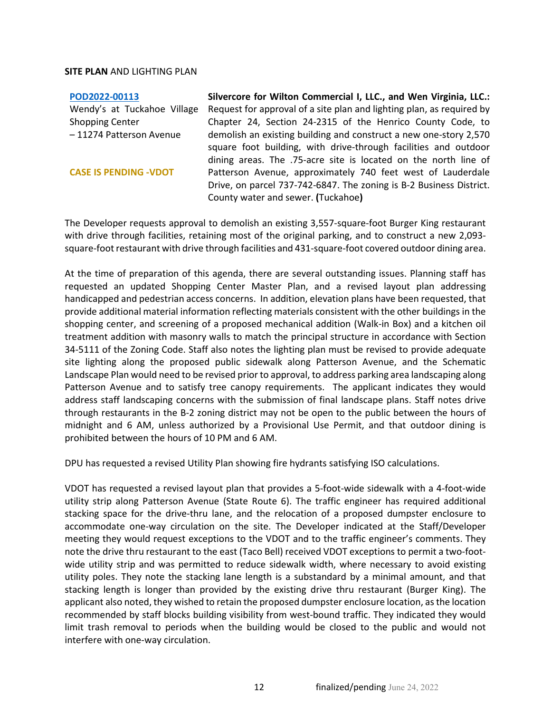#### **[POD2022-00113](https://henrico.us/pdfs/planning/2022/may22/pod/pod2022-00113.pdf)**

Wendy's at Tuckahoe Village Shopping Center – 11274 Patterson Avenue

#### **CASE IS PENDING -VDOT**

**Silvercore for Wilton Commercial I, LLC., and Wen Virginia, LLC.:**  Request for approval of a site plan and lighting plan, as required by Chapter 24, Section 24-2315 of the Henrico County Code, to demolish an existing building and construct a new one-story 2,570 square foot building, with drive-through facilities and outdoor dining areas. The .75-acre site is located on the north line of Patterson Avenue, approximately 740 feet west of Lauderdale Drive, on parcel 737-742-6847. The zoning is B-2 Business District. County water and sewer. **(**Tuckahoe**)**

The Developer requests approval to demolish an existing 3,557-square-foot Burger King restaurant with drive through facilities, retaining most of the original parking, and to construct a new 2,093 square-foot restaurant with drive through facilities and 431-square-foot covered outdoor dining area.

At the time of preparation of this agenda, there are several outstanding issues. Planning staff has requested an updated Shopping Center Master Plan, and a revised layout plan addressing handicapped and pedestrian access concerns. In addition, elevation plans have been requested, that provide additional material information reflecting materials consistent with the other buildings in the shopping center, and screening of a proposed mechanical addition (Walk-in Box) and a kitchen oil treatment addition with masonry walls to match the principal structure in accordance with Section 34-5111 of the Zoning Code. Staff also notes the lighting plan must be revised to provide adequate site lighting along the proposed public sidewalk along Patterson Avenue, and the Schematic Landscape Plan would need to be revised prior to approval, to address parking area landscaping along Patterson Avenue and to satisfy tree canopy requirements. The applicant indicates they would address staff landscaping concerns with the submission of final landscape plans. Staff notes drive through restaurants in the B-2 zoning district may not be open to the public between the hours of midnight and 6 AM, unless authorized by a Provisional Use Permit, and that outdoor dining is prohibited between the hours of 10 PM and 6 AM.

DPU has requested a revised Utility Plan showing fire hydrants satisfying ISO calculations.

VDOT has requested a revised layout plan that provides a 5-foot-wide sidewalk with a 4-foot-wide utility strip along Patterson Avenue (State Route 6). The traffic engineer has required additional stacking space for the drive-thru lane, and the relocation of a proposed dumpster enclosure to accommodate one-way circulation on the site. The Developer indicated at the Staff/Developer meeting they would request exceptions to the VDOT and to the traffic engineer's comments. They note the drive thru restaurant to the east (Taco Bell) received VDOT exceptions to permit a two-footwide utility strip and was permitted to reduce sidewalk width, where necessary to avoid existing utility poles. They note the stacking lane length is a substandard by a minimal amount, and that stacking length is longer than provided by the existing drive thru restaurant (Burger King). The applicant also noted, they wished to retain the proposed dumpster enclosure location, as the location recommended by staff blocks building visibility from west-bound traffic. They indicated they would limit trash removal to periods when the building would be closed to the public and would not interfere with one-way circulation.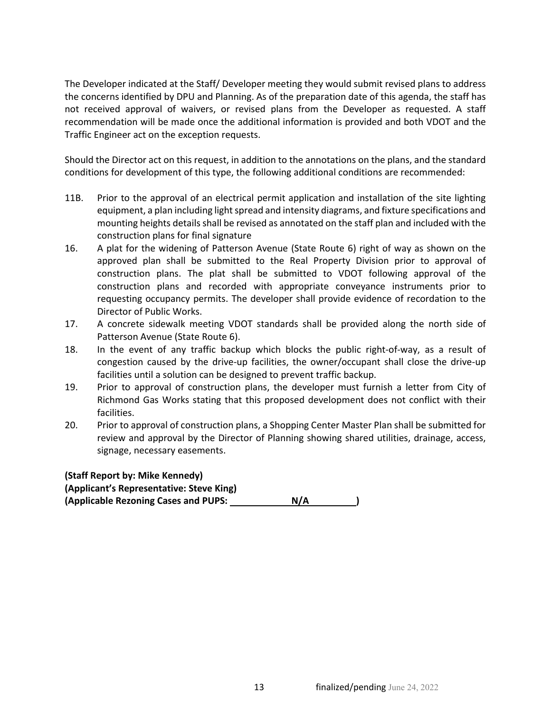The Developer indicated at the Staff/ Developer meeting they would submit revised plans to address the concerns identified by DPU and Planning. As of the preparation date of this agenda, the staff has not received approval of waivers, or revised plans from the Developer as requested. A staff recommendation will be made once the additional information is provided and both VDOT and the Traffic Engineer act on the exception requests.

Should the Director act on this request, in addition to the annotations on the plans, and the standard conditions for development of this type, the following additional conditions are recommended:

- 11B. Prior to the approval of an electrical permit application and installation of the site lighting equipment, a plan including light spread and intensity diagrams, and fixture specifications and mounting heights details shall be revised as annotated on the staff plan and included with the construction plans for final signature
- 16. A plat for the widening of Patterson Avenue (State Route 6) right of way as shown on the approved plan shall be submitted to the Real Property Division prior to approval of construction plans. The plat shall be submitted to VDOT following approval of the construction plans and recorded with appropriate conveyance instruments prior to requesting occupancy permits. The developer shall provide evidence of recordation to the Director of Public Works.
- 17. A concrete sidewalk meeting VDOT standards shall be provided along the north side of Patterson Avenue (State Route 6).
- 18. In the event of any traffic backup which blocks the public right-of-way, as a result of congestion caused by the drive-up facilities, the owner/occupant shall close the drive-up facilities until a solution can be designed to prevent traffic backup.
- 19. Prior to approval of construction plans, the developer must furnish a letter from City of Richmond Gas Works stating that this proposed development does not conflict with their facilities.
- 20. Prior to approval of construction plans, a Shopping Center Master Plan shall be submitted for review and approval by the Director of Planning showing shared utilities, drainage, access, signage, necessary easements.

**(Staff Report by: Mike Kennedy) (Applicant's Representative: Steve King) (Applicable Rezoning Cases and PUPS: N/A )**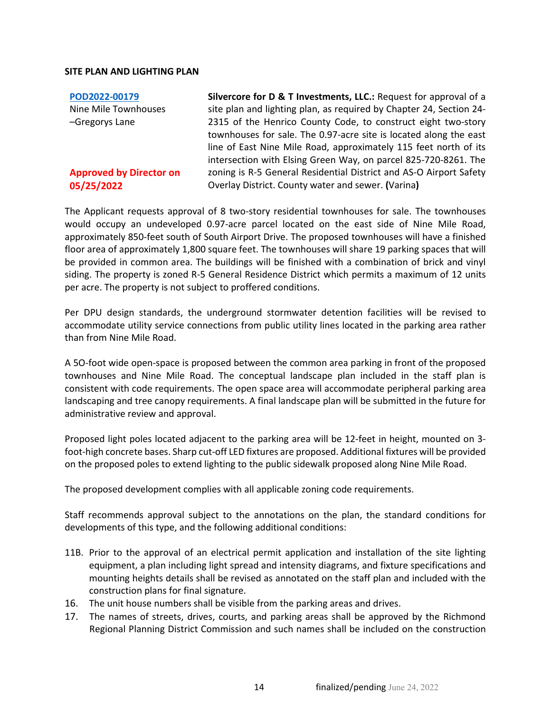**[POD2022-00179](https://henrico.us/pdfs/planning/2022/may22/pod/pod2022-00179.pdf)** Nine Mile Townhouses –Gregorys Lane

# **Approved by Director on 05/25/2022**

**Silvercore for D & T Investments, LLC.:** Request for approval of a site plan and lighting plan, as required by Chapter 24, Section 24- 2315 of the Henrico County Code, to construct eight two-story townhouses for sale. The 0.97-acre site is located along the east line of East Nine Mile Road, approximately 115 feet north of its intersection with Elsing Green Way, on parcel 825-720-8261. The zoning is R-5 General Residential District and AS-O Airport Safety Overlay District. County water and sewer. **(**Varina**)**

The Applicant requests approval of 8 two-story residential townhouses for sale. The townhouses would occupy an undeveloped 0.97-acre parcel located on the east side of Nine Mile Road, approximately 850-feet south of South Airport Drive. The proposed townhouses will have a finished floor area of approximately 1,800 square feet. The townhouses will share 19 parking spaces that will be provided in common area. The buildings will be finished with a combination of brick and vinyl siding. The property is zoned R-5 General Residence District which permits a maximum of 12 units per acre. The property is not subject to proffered conditions.

Per DPU design standards, the underground stormwater detention facilities will be revised to accommodate utility service connections from public utility lines located in the parking area rather than from Nine Mile Road.

A 5O-foot wide open-space is proposed between the common area parking in front of the proposed townhouses and Nine Mile Road. The conceptual landscape plan included in the staff plan is consistent with code requirements. The open space area will accommodate peripheral parking area landscaping and tree canopy requirements. A final landscape plan will be submitted in the future for administrative review and approval.

Proposed light poles located adjacent to the parking area will be 12-feet in height, mounted on 3 foot-high concrete bases. Sharp cut-off LED fixtures are proposed. Additional fixtures will be provided on the proposed poles to extend lighting to the public sidewalk proposed along Nine Mile Road.

The proposed development complies with all applicable zoning code requirements.

Staff recommends approval subject to the annotations on the plan, the standard conditions for developments of this type, and the following additional conditions:

- 11B. Prior to the approval of an electrical permit application and installation of the site lighting equipment, a plan including light spread and intensity diagrams, and fixture specifications and mounting heights details shall be revised as annotated on the staff plan and included with the construction plans for final signature.
- 16. The unit house numbers shall be visible from the parking areas and drives.
- 17. The names of streets, drives, courts, and parking areas shall be approved by the Richmond Regional Planning District Commission and such names shall be included on the construction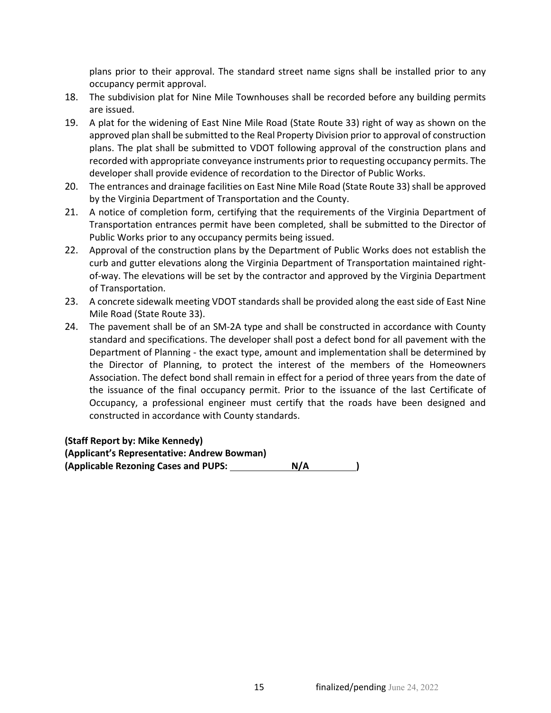plans prior to their approval. The standard street name signs shall be installed prior to any occupancy permit approval.

- 18. The subdivision plat for Nine Mile Townhouses shall be recorded before any building permits are issued.
- 19. A plat for the widening of East Nine Mile Road (State Route 33) right of way as shown on the approved plan shall be submitted to the Real Property Division prior to approval of construction plans. The plat shall be submitted to VDOT following approval of the construction plans and recorded with appropriate conveyance instruments prior to requesting occupancy permits. The developer shall provide evidence of recordation to the Director of Public Works.
- 20. The entrances and drainage facilities on East Nine Mile Road (State Route 33) shall be approved by the Virginia Department of Transportation and the County.
- 21. A notice of completion form, certifying that the requirements of the Virginia Department of Transportation entrances permit have been completed, shall be submitted to the Director of Public Works prior to any occupancy permits being issued.
- 22. Approval of the construction plans by the Department of Public Works does not establish the curb and gutter elevations along the Virginia Department of Transportation maintained rightof-way. The elevations will be set by the contractor and approved by the Virginia Department of Transportation.
- 23. A concrete sidewalk meeting VDOT standards shall be provided along the east side of East Nine Mile Road (State Route 33).
- 24. The pavement shall be of an SM-2A type and shall be constructed in accordance with County standard and specifications. The developer shall post a defect bond for all pavement with the Department of Planning - the exact type, amount and implementation shall be determined by the Director of Planning, to protect the interest of the members of the Homeowners Association. The defect bond shall remain in effect for a period of three years from the date of the issuance of the final occupancy permit. Prior to the issuance of the last Certificate of Occupancy, a professional engineer must certify that the roads have been designed and constructed in accordance with County standards.

# **(Staff Report by: Mike Kennedy)**

**(Applicant's Representative: Andrew Bowman) (Applicable Rezoning Cases and PUPS: N/A )**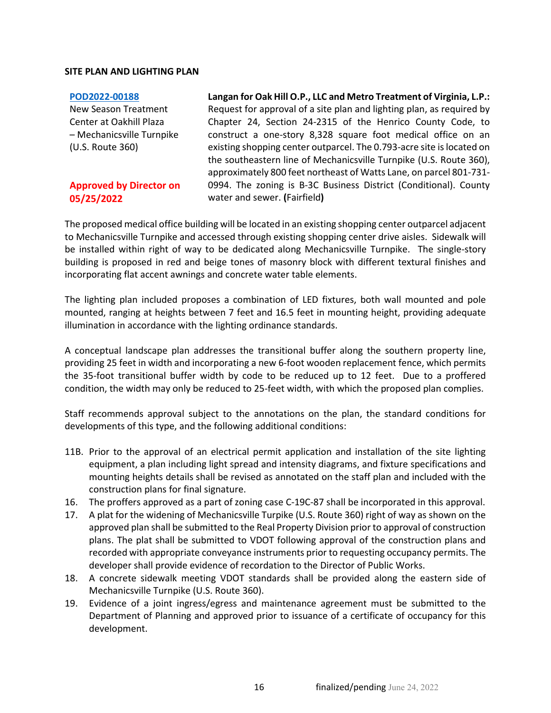#### **[POD2022-00188](https://henrico.us/pdfs/planning/2022/may22/pod/pod2022-00188.pdf)**

New Season Treatment Center at Oakhill Plaza – Mechanicsville Turnpike (U.S. Route 360)

# **Approved by Director on 05/25/2022**

**Langan for Oak Hill O.P., LLC and Metro Treatment of Virginia, L.P.:**  Request for approval of a site plan and lighting plan, as required by Chapter 24, Section 24-2315 of the Henrico County Code, to construct a one-story 8,328 square foot medical office on an existing shopping center outparcel. The 0.793-acre site is located on the southeastern line of Mechanicsville Turnpike (U.S. Route 360), approximately 800 feet northeast of Watts Lane, on parcel 801-731- 0994. The zoning is B-3C Business District (Conditional). County water and sewer. **(**Fairfield**)**

The proposed medical office building will be located in an existing shopping center outparcel adjacent to Mechanicsville Turnpike and accessed through existing shopping center drive aisles. Sidewalk will be installed within right of way to be dedicated along Mechanicsville Turnpike. The single-story building is proposed in red and beige tones of masonry block with different textural finishes and incorporating flat accent awnings and concrete water table elements.

The lighting plan included proposes a combination of LED fixtures, both wall mounted and pole mounted, ranging at heights between 7 feet and 16.5 feet in mounting height, providing adequate illumination in accordance with the lighting ordinance standards.

A conceptual landscape plan addresses the transitional buffer along the southern property line, providing 25 feet in width and incorporating a new 6-foot wooden replacement fence, which permits the 35-foot transitional buffer width by code to be reduced up to 12 feet. Due to a proffered condition, the width may only be reduced to 25-feet width, with which the proposed plan complies.

Staff recommends approval subject to the annotations on the plan, the standard conditions for developments of this type, and the following additional conditions:

- 11B. Prior to the approval of an electrical permit application and installation of the site lighting equipment, a plan including light spread and intensity diagrams, and fixture specifications and mounting heights details shall be revised as annotated on the staff plan and included with the construction plans for final signature.
- 16. The proffers approved as a part of zoning case C-19C-87 shall be incorporated in this approval.
- 17. A plat for the widening of Mechanicsville Turpike (U.S. Route 360) right of way as shown on the approved plan shall be submitted to the Real Property Division prior to approval of construction plans. The plat shall be submitted to VDOT following approval of the construction plans and recorded with appropriate conveyance instruments prior to requesting occupancy permits. The developer shall provide evidence of recordation to the Director of Public Works.
- 18. A concrete sidewalk meeting VDOT standards shall be provided along the eastern side of Mechanicsville Turnpike (U.S. Route 360).
- 19. Evidence of a joint ingress/egress and maintenance agreement must be submitted to the Department of Planning and approved prior to issuance of a certificate of occupancy for this development.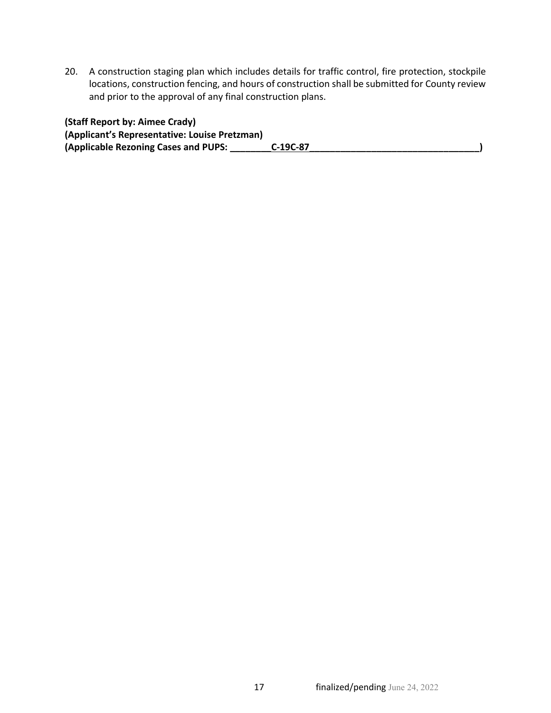20. A construction staging plan which includes details for traffic control, fire protection, stockpile locations, construction fencing, and hours of construction shall be submitted for County review and prior to the approval of any final construction plans.

**(Staff Report by: Aimee Crady) (Applicant's Representative: Louise Pretzman) (Applicable Rezoning Cases and PUPS: \_\_\_\_\_\_\_\_C-19C-87\_\_\_\_\_\_\_\_\_\_\_\_\_\_\_\_\_\_\_\_\_\_\_\_\_\_\_\_\_\_\_\_\_)**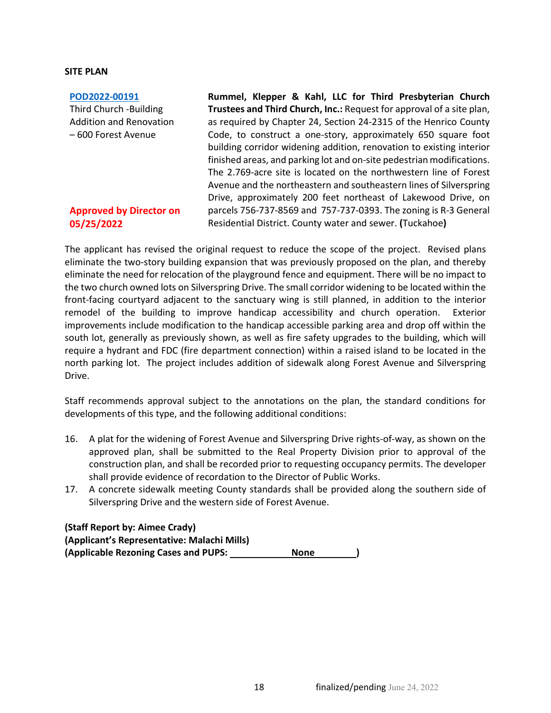### **SITE PLAN**

#### **[POD2022-00191](https://henrico.us/pdfs/planning/2022/may22/pod/pod2022-00191.pdf)**

Third Church -Building Addition and Renovation – 600 Forest Avenue

# **Approved by Director on 05/25/2022**

**Rummel, Klepper & Kahl, LLC for Third Presbyterian Church Trustees and Third Church, Inc.:** Request for approval of a site plan, as required by Chapter 24, Section 24-2315 of the Henrico County Code, to construct a one-story, approximately 650 square foot building corridor widening addition, renovation to existing interior finished areas, and parking lot and on-site pedestrian modifications. The 2.769-acre site is located on the northwestern line of Forest Avenue and the northeastern and southeastern lines of Silverspring Drive, approximately 200 feet northeast of Lakewood Drive, on parcels 756-737-8569 and 757-737-0393. The zoning is R-3 General Residential District. County water and sewer. **(**Tuckahoe**)**

The applicant has revised the original request to reduce the scope of the project. Revised plans eliminate the two-story building expansion that was previously proposed on the plan, and thereby eliminate the need for relocation of the playground fence and equipment. There will be no impact to the two church owned lots on Silverspring Drive. The small corridor widening to be located within the front-facing courtyard adjacent to the sanctuary wing is still planned, in addition to the interior remodel of the building to improve handicap accessibility and church operation. Exterior improvements include modification to the handicap accessible parking area and drop off within the south lot, generally as previously shown, as well as fire safety upgrades to the building, which will require a hydrant and FDC (fire department connection) within a raised island to be located in the north parking lot. The project includes addition of sidewalk along Forest Avenue and Silverspring Drive.

Staff recommends approval subject to the annotations on the plan, the standard conditions for developments of this type, and the following additional conditions:

- 16. A plat for the widening of Forest Avenue and Silverspring Drive rights-of-way, as shown on the approved plan, shall be submitted to the Real Property Division prior to approval of the construction plan, and shall be recorded prior to requesting occupancy permits. The developer shall provide evidence of recordation to the Director of Public Works.
- 17. A concrete sidewalk meeting County standards shall be provided along the southern side of Silverspring Drive and the western side of Forest Avenue.

# **(Staff Report by: Aimee Crady) (Applicant's Representative: Malachi Mills)** (Applicable Rezoning Cases and PUPS: None None